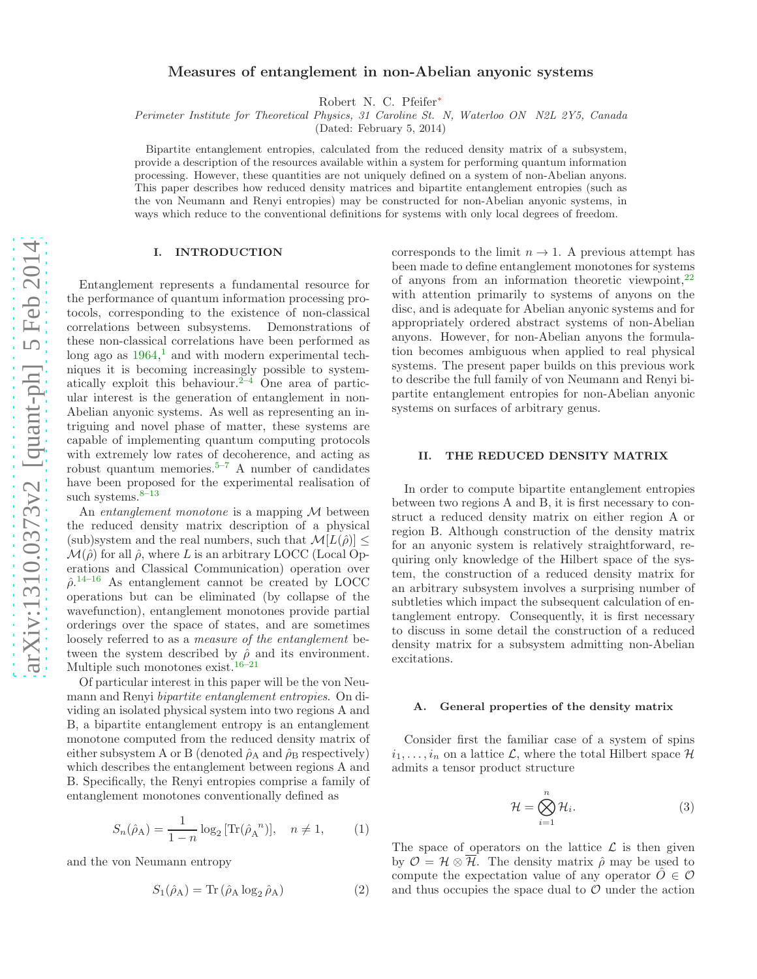# Measures of entanglement in non-Abelian anyonic systems

Robert N. C. Pfeifer[∗](#page-7-0)

*Perimeter Institute for Theoretical Physics, 31 Caroline St. N, Waterloo ON N2L 2Y5, Canada*

(Dated: February 5, 2014)

Bipartite entanglement entropies, calculated from the reduced density matrix of a subsystem, provide a description of the resources available within a system for performing quantum information processing. However, these quantities are not uniquely defined on a system of non-Abelian anyons. This paper describes how reduced density matrices and bipartite entanglement entropies (such as the von Neumann and Renyi entropies) may be constructed for non-Abelian anyonic systems, in ways which reduce to the conventional definitions for systems with only local degrees of freedom.

# I. INTRODUCTION

Entanglement represents a fundamental resource for the performance of quantum information processing protocols, corresponding to the existence of non-classical correlations between subsystems. Demonstrations of these non-classical correlations have been performed as long ago as  $1964<sup>1</sup>$  and with modern experimental techniques it is becoming increasingly possible to system-atically exploit this behaviour[.](#page-7-2)<sup>2–4</sup> One area of particular interest is the generation of entanglement in non-Abelian anyonic systems. As well as representing an intriguing and novel phase of matter, these systems are capable of implementing quantum computing protocols with extremely low rates of decoherence, and acting as robust quantum memories[.](#page-7-3)<sup>5–7</sup> A number of candidates have been proposed for the experimental realisation of such systems[.](#page-7-4) $8-13$ 

An *entanglement monotone* is a mapping M between the reduced density matrix description of a physical (sub)system and the real numbers, such that  $\mathcal{M}[L(\hat{\rho})]$  <  $\mathcal{M}(\hat{\rho})$  for all  $\hat{\rho}$ , where L is an arbitrary LOCC (Local Operations and Classical Communication) operation over  $\hat{\rho}$ <sup>14–16</sup> As entanglement cannot be created by LOCC operations but can be eliminated (by collapse of the wavefunction), entanglement monotones provide partial orderings over the space of states, and are sometimes loosely referred to as a measure of the entanglement between the system described by  $\hat{\rho}$  and its environment. Multiple such monotones exist[.](#page-8-0)  $16-21$ 

Of particular interest in this paper will be the von Neumann and Renyi bipartite entanglement entropies. On dividing an isolated physical system into two regions A and B, a bipartite entanglement entropy is an entanglement monotone computed from the reduced density matrix of either subsystem A or B (denoted  $\hat{\rho}_A$  and  $\hat{\rho}_B$  respectively) which describes the entanglement between regions A and B. Specifically, the Renyi entropies comprise a family of entanglement monotones conventionally defined as

<span id="page-0-2"></span>
$$
S_n(\hat{\rho}_A) = \frac{1}{1 - n} \log_2 [\text{Tr}(\hat{\rho}_A^{n})], \quad n \neq 1,
$$
 (1)

and the von Neumann entropy

<span id="page-0-3"></span>
$$
S_1(\hat{\rho}_A) = \text{Tr}\left(\hat{\rho}_A \log_2 \hat{\rho}_A\right) \tag{2}
$$

corresponds to the limit  $n \to 1$ . A previous attempt has been made to define entanglement monotones for systems of anyons from an information theoretic viewpoint[,](#page-8-1)  $2^2$ with attention primarily to systems of anyons on the disc, and is adequate for Abelian anyonic systems and for appropriately ordered abstract systems of non-Abelian anyons. However, for non-Abelian anyons the formulation becomes ambiguous when applied to real physical systems. The present paper builds on this previous work to describe the full family of von Neumann and Renyi bipartite entanglement entropies for non-Abelian anyonic systems on surfaces of arbitrary genus.

### II. THE REDUCED DENSITY MATRIX

In order to compute bipartite entanglement entropies between two regions A and B, it is first necessary to construct a reduced density matrix on either region A or region B. Although construction of the density matrix for an anyonic system is relatively straightforward, requiring only knowledge of the Hilbert space of the system, the construction of a reduced density matrix for an arbitrary subsystem involves a surprising number of subtleties which impact the subsequent calculation of entanglement entropy. Consequently, it is first necessary to discuss in some detail the construction of a reduced density matrix for a subsystem admitting non-Abelian excitations.

#### <span id="page-0-1"></span>A. General properties of the density matrix

Consider first the familiar case of a system of spins  $i_1, \ldots, i_n$  on a lattice  $\mathcal{L}$ , where the total Hilbert space  $\mathcal{H}$ admits a tensor product structure

<span id="page-0-0"></span>
$$
\mathcal{H} = \bigotimes_{i=1}^{n} \mathcal{H}_i.
$$
 (3)

The space of operators on the lattice  $\mathcal L$  is then given by  $\mathcal{O} = \mathcal{H} \otimes \mathcal{H}$ . The density matrix  $\hat{\rho}$  may be used to compute the expectation value of any operator  $\hat{O} \in \mathcal{O}$ and thus occupies the space dual to  $\mathcal O$  under the action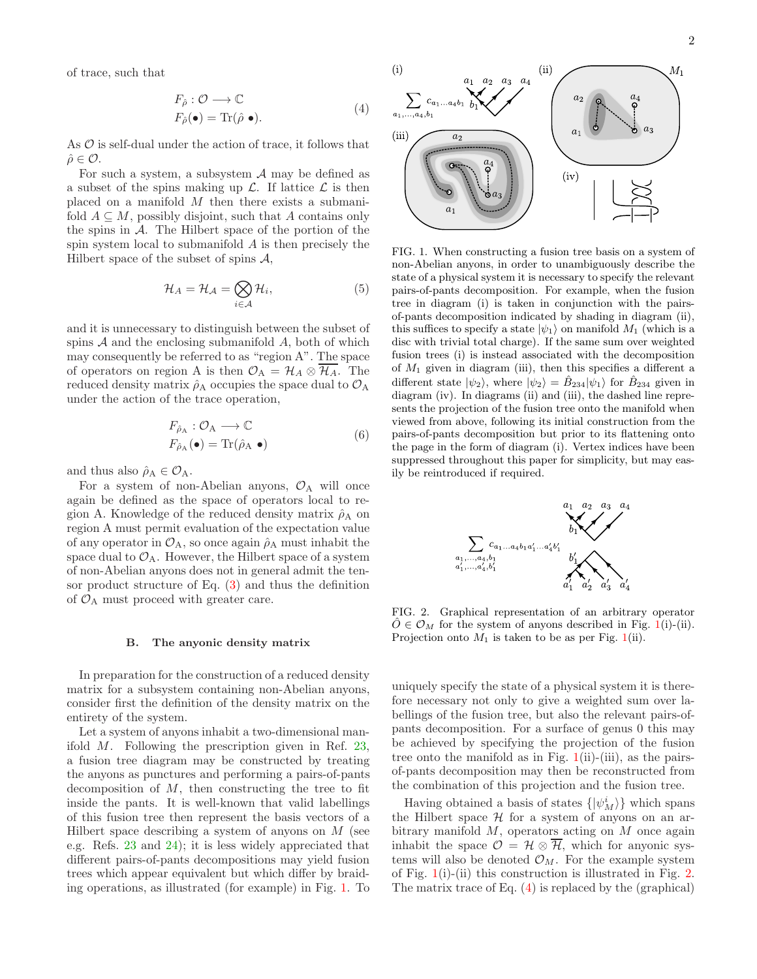<span id="page-1-2"></span>of trace, such that

$$
F_{\hat{\rho}} : \mathcal{O} \longrightarrow \mathbb{C}
$$
  
\n
$$
F_{\hat{\rho}}(\bullet) = \text{Tr}(\hat{\rho} \bullet). \tag{4}
$$

As  $\mathcal O$  is self-dual under the action of trace, it follows that  $\hat{\rho} \in \mathcal{O}.$ 

For such a system, a subsystem  $A$  may be defined as a subset of the spins making up  $\mathcal{L}$ . If lattice  $\mathcal{L}$  is then placed on a manifold  $M$  then there exists a submanifold  $A \subseteq M$ , possibly disjoint, such that A contains only the spins in  $A$ . The Hilbert space of the portion of the spin system local to submanifold A is then precisely the Hilbert space of the subset of spins  $A$ ,

$$
\mathcal{H}_A = \mathcal{H}_A = \bigotimes_{i \in \mathcal{A}} \mathcal{H}_i,\tag{5}
$$

and it is unnecessary to distinguish between the subset of spins  $A$  and the enclosing submanifold  $A$ , both of which may consequently be referred to as "region A". The space of operators on region A is then  $\mathcal{O}_A = \mathcal{H}_A \otimes \overline{\mathcal{H}_A}$ . The reduced density matrix  $\rho_A$  occupies the space dual to  $\mathcal{O}_A$ under the action of the trace operation,

$$
F_{\hat{\rho}_A} : \mathcal{O}_A \longrightarrow \mathbb{C}
$$
  

$$
F_{\hat{\rho}_A}(\bullet) = \text{Tr}(\hat{\rho}_A \bullet)
$$
 (6)

and thus also  $\hat{\rho}_A \in \mathcal{O}_A$ .

For a system of non-Abelian anyons,  $\mathcal{O}_A$  will once again be defined as the space of operators local to region A. Knowledge of the reduced density matrix  $\hat{\rho}_A$  on region A must permit evaluation of the expectation value of any operator in  $\mathcal{O}_A$ , so once again  $\hat{\rho}_A$  must inhabit the space dual to  $\mathcal{O}_A$ . However, the Hilbert space of a system of non-Abelian anyons does not in general admit the tensor product structure of Eq. [\(3\)](#page-0-0) and thus the definition of  $\mathcal{O}_A$  must proceed with greater care.

#### <span id="page-1-3"></span>B. The anyonic density matrix

In preparation for the construction of a reduced density matrix for a subsystem containing non-Abelian anyons, consider first the definition of the density matrix on the entirety of the system.

Let a system of anyons inhabit a two-dimensional manifold M. Following the prescription given in Ref. [23](#page-8-2), a fusion tree diagram may be constructed by treating the anyons as punctures and performing a pairs-of-pants decomposition of  $M$ , then constructing the tree to fit inside the pants. It is well-known that valid labellings of this fusion tree then represent the basis vectors of a Hilbert space describing a system of anyons on M (see e.g. Refs. [23](#page-8-2) and [24](#page-8-3)); it is less widely appreciated that different pairs-of-pants decompositions may yield fusion trees which appear equivalent but which differ by braiding operations, as illustrated (for example) in Fig. [1.](#page-1-0) To



<span id="page-1-0"></span>FIG. 1. When constructing a fusion tree basis on a system of non-Abelian anyons, in order to unambiguously describe the state of a physical system it is necessary to specify the relevant pairs-of-pants decomposition. For example, when the fusion tree in diagram (i) is taken in conjunction with the pairsof-pants decomposition indicated by shading in diagram (ii), this suffices to specify a state  $|\psi_1\rangle$  on manifold  $M_1$  (which is a disc with trivial total charge). If the same sum over weighted fusion trees (i) is instead associated with the decomposition of  $M_1$  given in diagram (iii), then this specifies a different a different state  $|\psi_2\rangle$ , where  $|\psi_2\rangle = \hat{B}_{234}|\psi_1\rangle$  for  $\hat{B}_{234}$  given in diagram (iv). In diagrams (ii) and (iii), the dashed line represents the projection of the fusion tree onto the manifold when viewed from above, following its initial construction from the pairs-of-pants decomposition but prior to its flattening onto the page in the form of diagram (i). Vertex indices have been suppressed throughout this paper for simplicity, but may easily be reintroduced if required.



<span id="page-1-1"></span>FIG. 2. Graphical representation of an arbitrary operator  $\tilde{O} \in \mathcal{O}_M$  for the system of anyons described in Fig. [1\(](#page-1-0)i)-(ii). Projection onto  $M_1$  is taken to be as per Fig. [1\(](#page-1-0)ii).

uniquely specify the state of a physical system it is therefore necessary not only to give a weighted sum over labellings of the fusion tree, but also the relevant pairs-ofpants decomposition. For a surface of genus 0 this may be achieved by specifying the projection of the fusion tree onto the manifold as in Fig.  $1(i)$  $1(i)$ -(iii), as the pairsof-pants decomposition may then be reconstructed from the combination of this projection and the fusion tree.

Having obtained a basis of states  $\{|\psi_M^i \rangle\}$  which spans the Hilbert space  $H$  for a system of anyons on an arbitrary manifold  $M$ , operators acting on  $M$  once again inhabit the space  $\mathcal{O} = \mathcal{H} \otimes \overline{\mathcal{H}}$ , which for anyonic systems will also be denoted  $\mathcal{O}_M$ . For the example system of Fig. [1\(](#page-1-0)i)-(ii) this construction is illustrated in Fig. [2.](#page-1-1) The matrix trace of Eq. [\(4\)](#page-1-2) is replaced by the (graphical)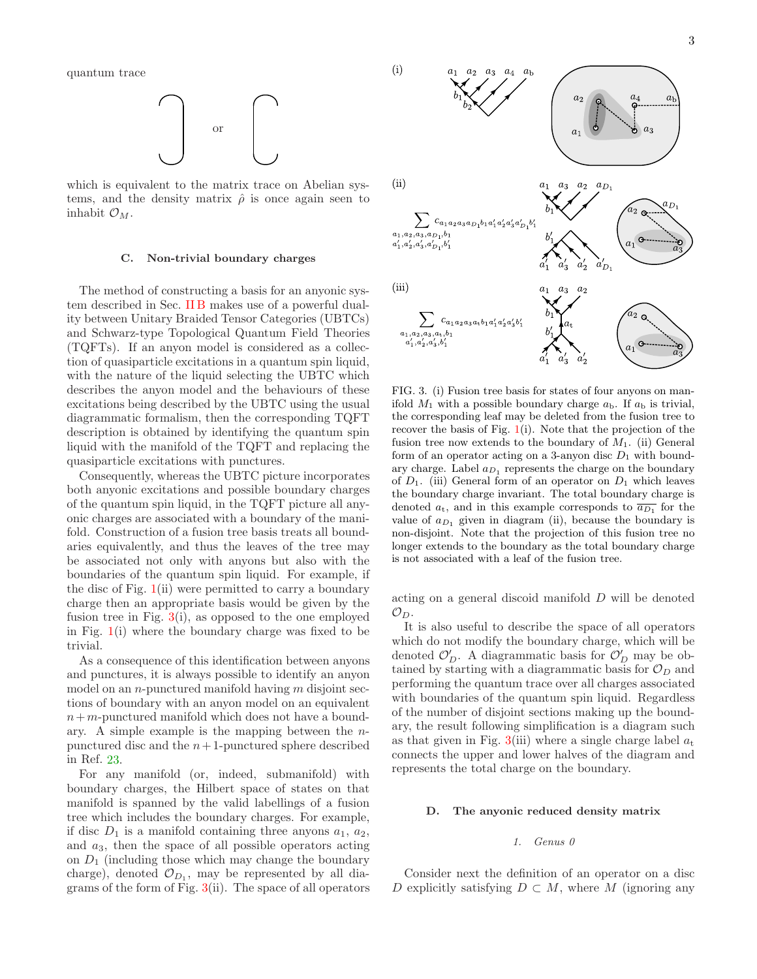quantum trace



which is equivalent to the matrix trace on Abelian systems, and the density matrix  $\hat{\rho}$  is once again seen to inhabit  $\mathcal{O}_M$ .

# C. Non-trivial boundary charges

The method of constructing a basis for an anyonic system described in Sec. [II B](#page-1-3) makes use of a powerful duality between Unitary Braided Tensor Categories (UBTCs) and Schwarz-type Topological Quantum Field Theories (TQFTs). If an anyon model is considered as a collection of quasiparticle excitations in a quantum spin liquid, with the nature of the liquid selecting the UBTC which describes the anyon model and the behaviours of these excitations being described by the UBTC using the usual diagrammatic formalism, then the corresponding TQFT description is obtained by identifying the quantum spin liquid with the manifold of the TQFT and replacing the quasiparticle excitations with punctures.

Consequently, whereas the UBTC picture incorporates both anyonic excitations and possible boundary charges of the quantum spin liquid, in the TQFT picture all anyonic charges are associated with a boundary of the manifold. Construction of a fusion tree basis treats all boundaries equivalently, and thus the leaves of the tree may be associated not only with anyons but also with the boundaries of the quantum spin liquid. For example, if the disc of Fig.  $1(i)$  $1(i)$  were permitted to carry a boundary charge then an appropriate basis would be given by the fusion tree in Fig.  $3(i)$  $3(i)$ , as opposed to the one employed in Fig. [1\(](#page-1-0)i) where the boundary charge was fixed to be trivial.

As a consequence of this identification between anyons and punctures, it is always possible to identify an anyon model on an *n*-punctured manifold having  $m$  disjoint sections of boundary with an anyon model on an equivalent  $n+m$ -punctured manifold which does not have a boundary. A simple example is the mapping between the  $n$ punctured disc and the  $n+1$ -punctured sphere described in Ref. [23.](#page-8-2)

For any manifold (or, indeed, submanifold) with boundary charges, the Hilbert space of states on that manifold is spanned by the valid labellings of a fusion tree which includes the boundary charges. For example, if disc  $D_1$  is a manifold containing three anyons  $a_1, a_2,$ and  $a_3$ , then the space of all possible operators acting on  $D_1$  (including those which may change the boundary charge), denoted  $\mathcal{O}_{D_1}$ , may be represented by all diagrams of the form of Fig.  $3(ii)$  $3(ii)$ . The space of all operators



<span id="page-2-0"></span>FIG. 3. (i) Fusion tree basis for states of four anyons on manifold  $M_1$  with a possible boundary charge  $a_{\rm b}$ . If  $a_{\rm b}$  is trivial, the corresponding leaf may be deleted from the fusion tree to recover the basis of Fig.  $1(i)$  $1(i)$ . Note that the projection of the fusion tree now extends to the boundary of  $M_1$ . (ii) General form of an operator acting on a 3-anyon disc  $D_1$  with boundary charge. Label  $a_{D_1}$  represents the charge on the boundary of  $D_1$ . (iii) General form of an operator on  $D_1$  which leaves the boundary charge invariant. The total boundary charge is denoted  $a_t$ , and in this example corresponds to  $\overline{a_{D_1}}$  for the value of  $a_{D_1}$  given in diagram (ii), because the boundary is non-disjoint. Note that the projection of this fusion tree no longer extends to the boundary as the total boundary charge is not associated with a leaf of the fusion tree.

acting on a general discoid manifold D will be denoted  $\mathcal{O}_D$ .

It is also useful to describe the space of all operators which do not modify the boundary charge, which will be denoted  $\mathcal{O}'_D$ . A diagrammatic basis for  $\mathcal{O}'_D$  may be obtained by starting with a diagrammatic basis for  $\mathcal{O}_D$  and performing the quantum trace over all charges associated with boundaries of the quantum spin liquid. Regardless of the number of disjoint sections making up the boundary, the result following simplification is a diagram such as that given in Fig.  $3(iii)$  $3(iii)$  where a single charge label  $a_t$ connects the upper and lower halves of the diagram and represents the total charge on the boundary.

#### <span id="page-2-2"></span>D. The anyonic reduced density matrix

### <span id="page-2-1"></span>*1. Genus 0*

Consider next the definition of an operator on a disc D explicitly satisfying  $D \subset M$ , where M (ignoring any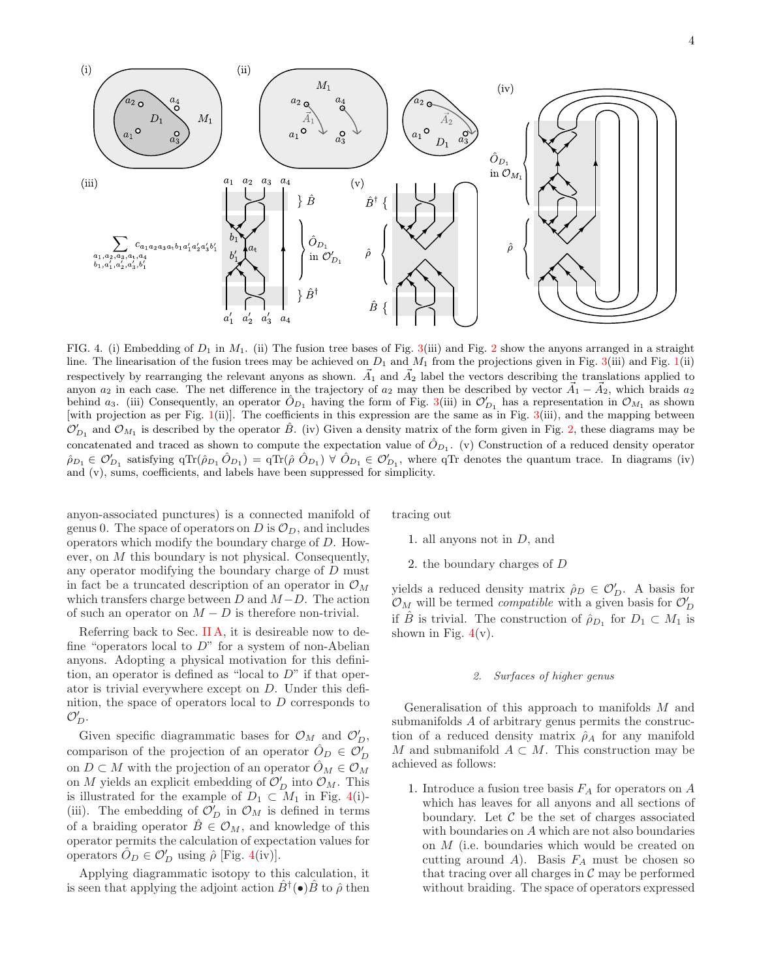

<span id="page-3-0"></span>FIG. 4. (i) Embedding of  $D_1$  in  $M_1$ . (ii) The fusion tree bases of Fig. [3\(](#page-2-0)iii) and Fig. [2](#page-1-1) show the anyons arranged in a straight line. The linearisation of the fusion trees may be achieved on  $D_1$  and  $M_1$  from the projections given in Fig. [3\(](#page-2-0)iii) and Fig. [1\(](#page-1-0)ii) respectively by rearranging the relevant anyons as shown.  $\vec{A}_1$  and  $\vec{A}_2$  label the vectors describing the translations applied to anyon  $a_2$  in each case. The net difference in the trajectory of  $a_2$  may then be described by vector  $\vec{A}_1 - \vec{A}_2$ , which braids  $a_2$ behind a<sub>3</sub>. (iii) Consequently, an operator  $\hat{O}_{D_1}$  having the form of Fig. [3\(](#page-2-0)iii) in  $\mathcal{O}'_{D_1}$  has a representation in  $\mathcal{O}_{M_1}$  as shown [with projection as per Fig. [1\(](#page-1-0)ii)]. The coefficients in this expression are the same as in Fig. [3\(](#page-2-0)iii), and the mapping between  $\mathcal{O}'_{D_1}$  and  $\mathcal{O}_{M_1}$  is described by the operator  $\hat{B}$ . (iv) Given a density matrix of the form given in Fig. [2,](#page-1-1) these diagrams may be concatenated and traced as shown to compute the expectation value of  $\hat{O}_{D_1}$ . (v) Construction of a reduced density operator  $\rho_{D_1} \in \mathcal{O}'_{D_1}$  satisfying  $\text{qTr}(\hat{\rho}_{D_1} \hat{O}_{D_1}) = \text{qTr}(\hat{\rho} \hat{O}_{D_1}) \ \forall \ \hat{O}_{D_1} \in \mathcal{O}'_{D_1}$ , where  $\text{qTr}$  denotes the quantum trace. In diagrams (iv) and (v), sums, coefficients, and labels have been suppressed for simplicity.

anyon-associated punctures) is a connected manifold of genus 0. The space of operators on D is  $\mathcal{O}_D$ , and includes operators which modify the boundary charge of D. However, on M this boundary is not physical. Consequently, any operator modifying the boundary charge of  $D$  must in fact be a truncated description of an operator in  $\mathcal{O}_M$ which transfers charge between  $D$  and  $M-D$ . The action of such an operator on  $M - D$  is therefore non-trivial.

Referring back to Sec. [II A,](#page-0-1) it is desireable now to define "operators local to  $D$ " for a system of non-Abelian anyons. Adopting a physical motivation for this definition, an operator is defined as "local to  $D$ " if that operator is trivial everywhere except on D. Under this definition, the space of operators local to D corresponds to  $\mathcal{O}'_D$ .

Given specific diagrammatic bases for  $\mathcal{O}_M$  and  $\mathcal{O}'_D$ , comparison of the projection of an operator  $\hat{O}_D \in \mathcal{O}'_D$ on  $D \subset M$  with the projection of an operator  $\hat{O}_M \in \mathcal{O}_M$ on M yields an explicit embedding of  $\mathcal{O}'_D$  into  $\mathcal{O}_M$ . This is illustrated for the example of  $D_1 \subset M_1$  in Fig. [4\(](#page-3-0)i)-(iii). The embedding of  $\mathcal{O}'_D$  in  $\mathcal{O}_M$  is defined in terms of a braiding operator  $\hat{B} \in \mathcal{O}_M$ , and knowledge of this operator permits the calculation of expectation values for operators  $\hat{O}_D \in \mathcal{O}'_D$  using  $\hat{\rho}$  [Fig. [4\(](#page-3-0)iv)].

Applying diagrammatic isotopy to this calculation, it is seen that applying the adjoint action  $\hat{B}^{\dagger}(\bullet)\hat{B}$  to  $\hat{\rho}$  then tracing out

1. all anyons not in D, and

2. the boundary charges of D

yields a reduced density matrix  $\rho_D \in \mathcal{O}'_D$ . A basis for  $\mathcal{O}_M$  will be termed *compatible* with a given basis for  $\mathcal{O}'_D$ if  $\hat{B}$  is trivial. The construction of  $\rho_{D_1}$  for  $D_1 \subset M_1$  is shown in Fig.  $4(v)$  $4(v)$ .

# *2. Surfaces of higher genus*

Generalisation of this approach to manifolds M and submanifolds A of arbitrary genus permits the construction of a reduced density matrix  $\rho_A$  for any manifold M and submanifold  $A \subset M$ . This construction may be achieved as follows:

1. Introduce a fusion tree basis  $F_A$  for operators on  $A$ which has leaves for all anyons and all sections of boundary. Let  $\mathcal C$  be the set of charges associated with boundaries on A which are not also boundaries on M (i.e. boundaries which would be created on cutting around  $A$ ). Basis  $F_A$  must be chosen so that tracing over all charges in  $\mathcal C$  may be performed without braiding. The space of operators expressed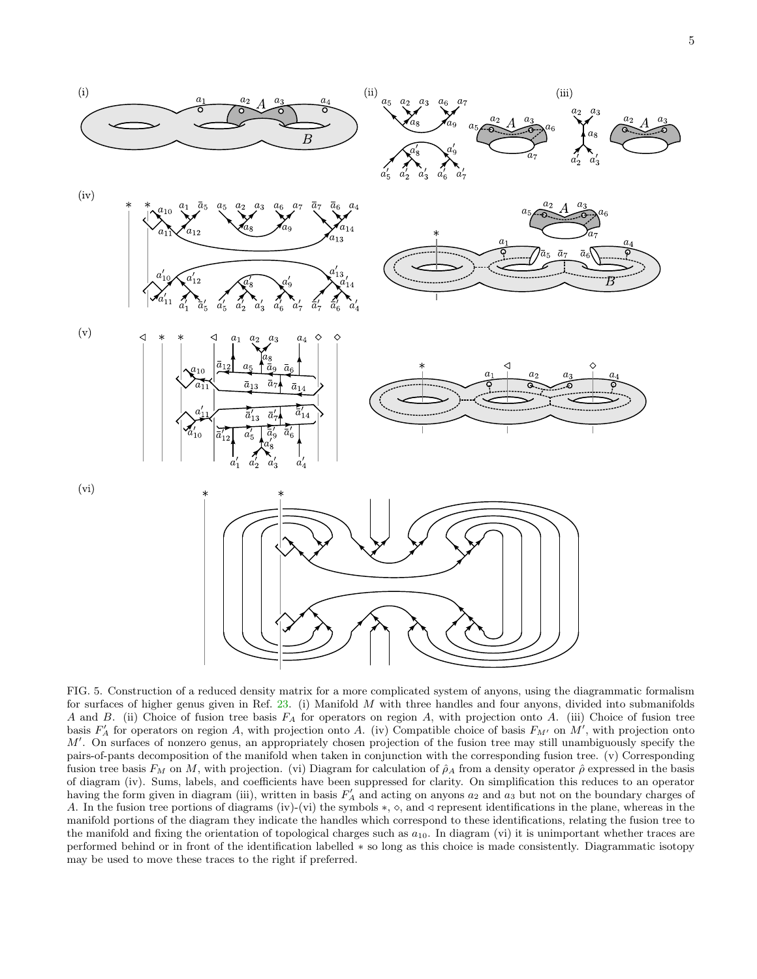

<span id="page-4-0"></span>FIG. 5. Construction of a reduced density matrix for a more complicated system of anyons, using the diagrammatic formalism for surfaces of higher genus given in Ref.  $23.$  $23.$  (i) Manifold M with three handles and four anyons, divided into submanifolds A and B. (ii) Choice of fusion tree basis  $FA$  for operators on region A, with projection onto A. (iii) Choice of fusion tree basis  $F'_A$  for operators on region A, with projection onto A. (iv) Compatible choice of basis  $F_{M'}$  on  $M'$ , with projection onto M'. On surfaces of nonzero genus, an appropriately chosen projection of the fusion tree may still unambiguously specify the pairs-of-pants decomposition of the manifold when taken in conjunction with the corresponding fusion tree. (v) Corresponding fusion tree basis  $F_M$  on M, with projection. (vi) Diagram for calculation of  $\hat{\rho}_A$  from a density operator  $\hat{\rho}$  expressed in the basis of diagram (iv). Sums, labels, and coefficients have been suppressed for clarity. On simplification this reduces to an operator having the form given in diagram (iii), written in basis  $F'_A$  and acting on anyons  $a_2$  and  $a_3$  but not on the boundary charges of A. In the fusion tree portions of diagrams (iv)-(vi) the symbols  $*, \diamond$ , and  $\triangleleft$  represent identifications in the plane, whereas in the manifold portions of the diagram they indicate the handles which correspond to these identifications, relating the fusion tree to the manifold and fixing the orientation of topological charges such as  $a_{10}$ . In diagram (vi) it is unimportant whether traces are performed behind or in front of the identification labelled ∗ so long as this choice is made consistently. Diagrammatic isotopy may be used to move these traces to the right if preferred.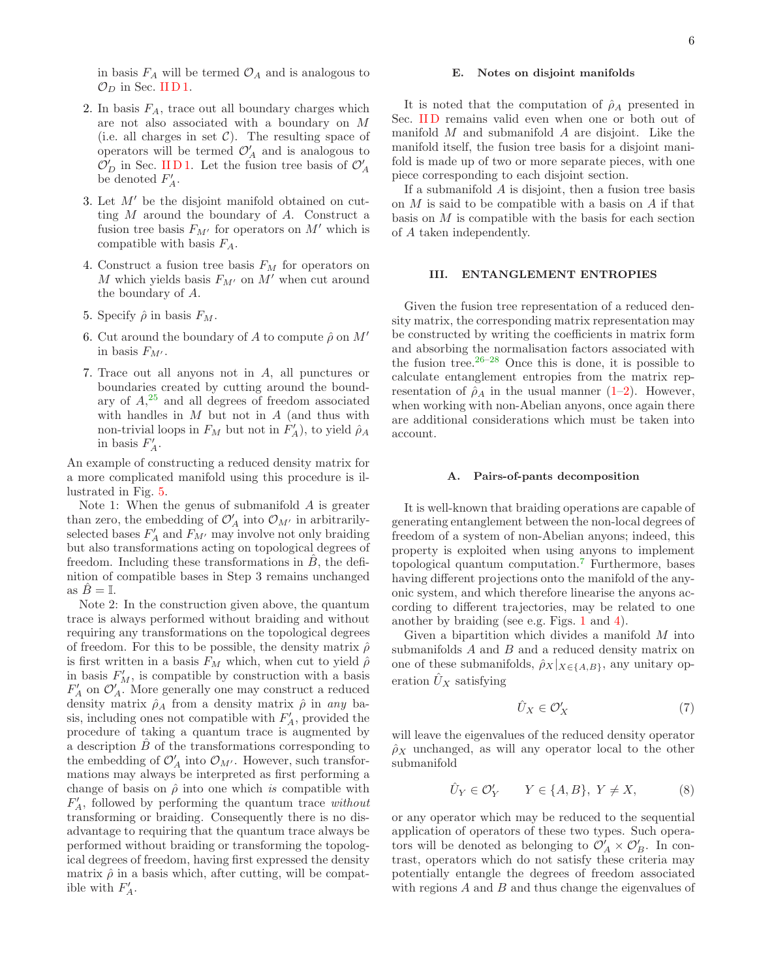- 2. In basis  $F_A$ , trace out all boundary charges which are not also associated with a boundary on M (i.e. all charges in set  $C$ ). The resulting space of operators will be termed  $\mathcal{O}'_A$  and is analogous to  $\mathcal{O}'_D$  in Sec. IID 1. Let the fusion tree basis of  $\mathcal{O}'_A$ be denoted  $F'_A$ .
- 3. Let M′ be the disjoint manifold obtained on cutting M around the boundary of A. Construct a fusion tree basis  $F_{M'}$  for operators on  $M'$  which is compatible with basis  $F_A$ .
- 4. Construct a fusion tree basis  $F_M$  for operators on M which yields basis  $F_{M'}$  on  $M'$  when cut around the boundary of A.
- 5. Specify  $\hat{\rho}$  in basis  $F_M$ .
- 6. Cut around the boundary of A to compute  $\hat{\rho}$  on  $M'$ in basis  $F_{M'}$ .
- 7. Trace out all anyons not in A, all punctures or boundaries created by cutting around the boundary of A[,](#page-8-4) <sup>25</sup> and all degrees of freedom associated with handles in  $M$  but not in  $A$  (and thus with non-trivial loops in  $F_M$  but not in  $F'_A$ , to yield  $\hat{\rho}_A$ in basis  $F'_A$ .

An example of constructing a reduced density matrix for a more complicated manifold using this procedure is illustrated in Fig. [5.](#page-4-0)

Note 1: When the genus of submanifold  $A$  is greater than zero, the embedding of  $\mathcal{O}'_A$  into  $\mathcal{O}_{M'}$  in arbitrarilyselected bases  $F'_A$  and  $F_{M'}$  may involve not only braiding but also transformations acting on topological degrees of freedom. Including these transformations in  $\ddot{B}$ , the definition of compatible bases in Step 3 remains unchanged as  $\hat{B}=\mathbb{I}$ .

Note 2: In the construction given above, the quantum trace is always performed without braiding and without requiring any transformations on the topological degrees of freedom. For this to be possible, the density matrix  $\hat{\rho}$ is first written in a basis  $F_M$  which, when cut to yield  $\hat{\rho}$ in basis  $F'_{M}$ , is compatible by construction with a basis  $F'_A$  on  $\mathcal{O}'_A$ . More generally one may construct a reduced density matrix  $\rho_A$  from a density matrix  $\rho$  in any basis, including ones not compatible with  $F'_A$ , provided the procedure of taking a quantum trace is augmented by a description  $\hat{B}$  of the transformations corresponding to the embedding of  $\mathcal{O}'_A$  into  $\mathcal{O}_{M'}$ . However, such transformations may always be interpreted as first performing a change of basis on  $\hat{\rho}$  into one which is compatible with  $F'_{A}$ , followed by performing the quantum trace *without* transforming or braiding. Consequently there is no disadvantage to requiring that the quantum trace always be performed without braiding or transforming the topological degrees of freedom, having first expressed the density matrix  $\hat{\rho}$  in a basis which, after cutting, will be compatible with  $F'_A$ .

### E. Notes on disjoint manifolds

It is noted that the computation of  $\hat{\rho}_A$  presented in Sec. IID remains valid even when one or both out of manifold  $M$  and submanifold  $A$  are disjoint. Like the manifold itself, the fusion tree basis for a disjoint manifold is made up of two or more separate pieces, with one piece corresponding to each disjoint section.

If a submanifold A is disjoint, then a fusion tree basis on  $M$  is said to be compatible with a basis on  $A$  if that basis on M is compatible with the basis for each section of A taken independently.

#### III. ENTANGLEMENT ENTROPIES

Given the fusion tree representation of a reduced density matrix, the corresponding matrix representation may be constructed by writing the coefficients in matrix form and absorbing the normalisation factors associated with the fusion tree[.](#page-8-5)  $26-28$  Once this is done, it is possible to calculate entanglement entropies from the matrix representation of  $\hat{\rho}_A$  in the usual manner [\(1](#page-0-2)[–2\)](#page-0-3). However, when working with non-Abelian anyons, once again there are additional considerations which must be taken into account.

# A. Pairs-of-pants decomposition

It is well-known that braiding operations are capable of generating entanglement between the non-local degrees of freedom of a system of non-Abelian anyons; indeed, this property is exploited when using anyons to implement topological quantum computation[.](#page-7-6)<sup>7</sup> Furthermore, bases having different projections onto the manifold of the anyonic system, and which therefore linearise the anyons according to different trajectories, may be related to one another by braiding (see e.g. Figs. [1](#page-1-0) and [4\)](#page-3-0).

Given a bipartition which divides a manifold M into submanifolds A and B and a reduced density matrix on one of these submanifolds,  $\hat{\rho}_X|_{X\in\{A,B\}}$ , any unitary operation  $\hat{U}_X$  satisfying

$$
\hat{U}_X \in \mathcal{O}_X' \tag{7}
$$

will leave the eigenvalues of the reduced density operator  $\hat{\rho}_X$  unchanged, as will any operator local to the other submanifold

$$
\hat{U}_Y \in \mathcal{O}_Y' \qquad Y \in \{A, B\}, \ Y \neq X, \tag{8}
$$

or any operator which may be reduced to the sequential application of operators of these two types. Such operators will be denoted as belonging to  $\mathcal{O}'_A \times \mathcal{O}'_B$ . In contrast, operators which do not satisfy these criteria may potentially entangle the degrees of freedom associated with regions  $A$  and  $B$  and thus change the eigenvalues of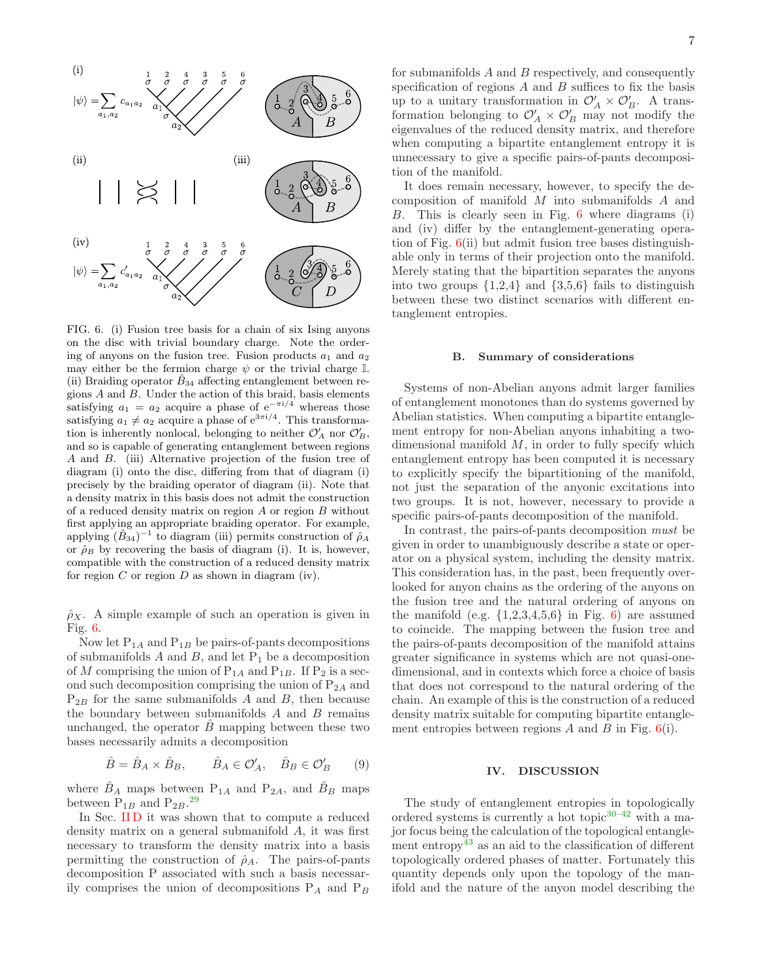

<span id="page-6-0"></span>FIG. 6. (i) Fusion tree basis for a chain of six Ising anyons on the disc with trivial boundary charge. Note the ordering of anyons on the fusion tree. Fusion products  $a_1$  and  $a_2$ may either be the fermion charge  $\psi$  or the trivial charge I. (ii) Braiding operator  $\hat{B}_{34}$  affecting entanglement between regions A and B. Under the action of this braid, basis elements satisfying  $a_1 = a_2$  acquire a phase of  $e^{-\pi i/4}$  whereas those satisfying  $a_1 \neq a_2$  acquire a phase of  $e^{3\pi i/4}$ . This transformation is inherently nonlocal, belonging to neither  $\mathcal{O}'_A$  nor  $\mathcal{O}'_B$ , and so is capable of generating entanglement between regions A and B. (iii) Alternative projection of the fusion tree of diagram (i) onto the disc, differing from that of diagram (i) precisely by the braiding operator of diagram (ii). Note that a density matrix in this basis does not admit the construction of a reduced density matrix on region  $A$  or region  $B$  without first applying an appropriate braiding operator. For example, applying  $(\hat{B}_{34})^{-1}$  to diagram (iii) permits construction of  $\rho_A$ or  $\rho_B$  by recovering the basis of diagram (i). It is, however, compatible with the construction of a reduced density matrix for region  $C$  or region  $D$  as shown in diagram (iv).

 $\hat{\rho}_X$ . A simple example of such an operation is given in Fig. [6.](#page-6-0)

Now let  $P_{1A}$  and  $P_{1B}$  be pairs-of-pants decompositions of submanifolds  $A$  and  $B$ , and let  $P_1$  be a decomposition of M comprising the union of  $P_{1A}$  and  $P_{1B}$ . If  $P_2$  is a second such decomposition comprising the union of  $P_{2A}$  and  $P_{2B}$  for the same submanifolds A and B, then because the boundary between submanifolds  $A$  and  $B$  remains unchanged, the operator  $\tilde{B}$  mapping between these two bases necessarily admits a decomposition

$$
\hat{B} = \hat{B}_A \times \hat{B}_B, \qquad \hat{B}_A \in \mathcal{O}_A', \quad \hat{B}_B \in \mathcal{O}_B' \tag{9}
$$

where  $\hat{B}_A$  maps between P<sub>1A</sub> and P<sub>2A</sub>, and  $\hat{B}_B$  maps between  $P_{1B}$  and  $P_{2B}$ [.](#page-8-6)<sup>29</sup>

In Sec. IID it was shown that to compute a reduced density matrix on a general submanifold A, it was first necessary to transform the density matrix into a basis permitting the construction of  $\hat{\rho}_A$ . The pairs-of-pants decomposition P associated with such a basis necessarily comprises the union of decompositions  $\mathrm P_A$  and  $\mathrm P_B$ 

for submanifolds  $A$  and  $B$  respectively, and consequently specification of regions  $A$  and  $B$  suffices to fix the basis up to a unitary transformation in  $\mathcal{O}'_A \times \mathcal{O}'_B$ . A transformation belonging to  $\mathcal{O}'_A \times \mathcal{O}'_B$  may not modify the eigenvalues of the reduced density matrix, and therefore when computing a bipartite entanglement entropy it is unnecessary to give a specific pairs-of-pants decomposition of the manifold.

It does remain necessary, however, to specify the decomposition of manifold M into submanifolds A and B. This is clearly seen in Fig. [6](#page-6-0) where diagrams (i) and (iv) differ by the entanglement-generating operation of Fig.  $6(i)$  $6(i)$  but admit fusion tree bases distinguishable only in terms of their projection onto the manifold. Merely stating that the bipartition separates the anyons into two groups  $\{1,2,4\}$  and  $\{3,5,6\}$  fails to distinguish between these two distinct scenarios with different entanglement entropies.

#### B. Summary of considerations

Systems of non-Abelian anyons admit larger families of entanglement monotones than do systems governed by Abelian statistics. When computing a bipartite entanglement entropy for non-Abelian anyons inhabiting a twodimensional manifold  $M$ , in order to fully specify which entanglement entropy has been computed it is necessary to explicitly specify the bipartitioning of the manifold, not just the separation of the anyonic excitations into two groups. It is not, however, necessary to provide a specific pairs-of-pants decomposition of the manifold.

In contrast, the pairs-of-pants decomposition must be given in order to unambiguously describe a state or operator on a physical system, including the density matrix. This consideration has, in the past, been frequently overlooked for anyon chains as the ordering of the anyons on the fusion tree and the natural ordering of anyons on the manifold (e.g.  $\{1,2,3,4,5,6\}$  in Fig. [6\)](#page-6-0) are assumed to coincide. The mapping between the fusion tree and the pairs-of-pants decomposition of the manifold attains greater significance in systems which are not quasi-onedimensional, and in contexts which force a choice of basis that does not correspond to the natural ordering of the chain. An example of this is the construction of a reduced density matrix suitable for computing bipartite entanglement entropies between regions  $A$  and  $B$  in Fig.  $6(i)$  $6(i)$ .

# IV. DISCUSSION

The study of entanglement entropies in topologically ordered systems is [c](#page-8-7)urrently a hot topic $30-42$  with a major focus being the calculation of the topological entanglement entrop[y](#page-8-8)<sup>43</sup> as an aid to the classification of different topologically ordered phases of matter. Fortunately this quantity depends only upon the topology of the manifold and the nature of the anyon model describing the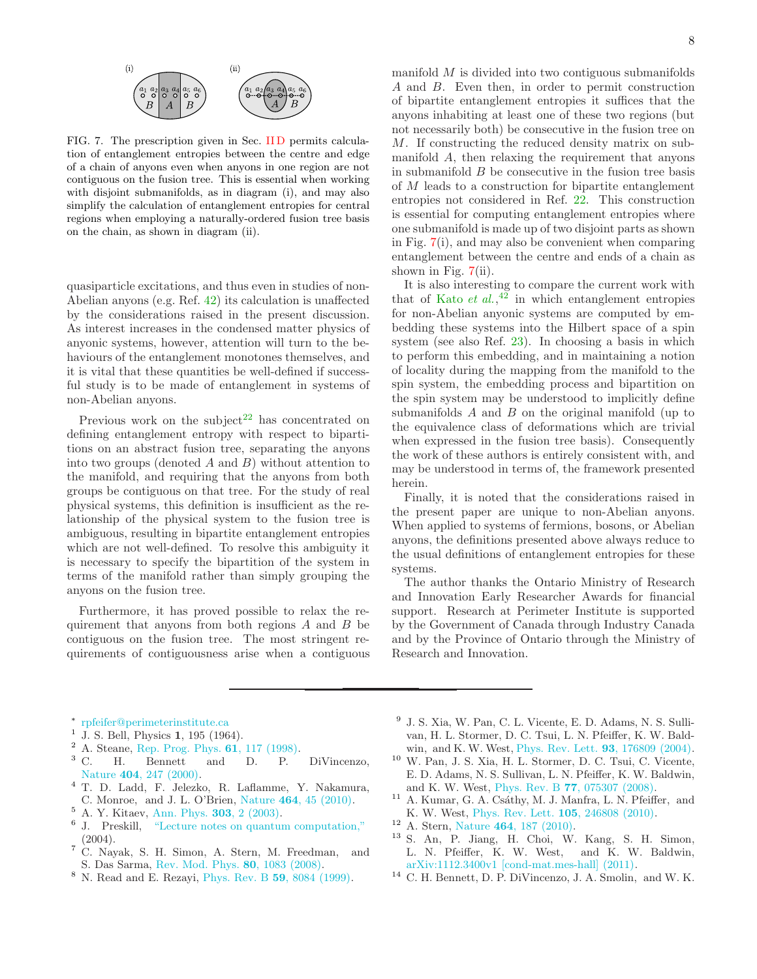

<span id="page-7-7"></span>FIG. 7. The prescription given in Sec. [II D](#page-2-2) permits calculation of entanglement entropies between the centre and edge of a chain of anyons even when anyons in one region are not contiguous on the fusion tree. This is essential when working with disjoint submanifolds, as in diagram (i), and may also simplify the calculation of entanglement entropies for central regions when employing a naturally-ordered fusion tree basis on the chain, as shown in diagram (ii).

quasiparticle excitations, and thus even in studies of non-Abelian anyons (e.g. Ref. [42](#page-8-9)) its calculation is unaffected by the considerations raised in the present discussion. As interest increases in the condensed matter physics of anyonic systems, however, attention will turn to the behaviours of the entanglement monotones themselves, and it is vital that these quantities be well-defined if successful study is to be made of entanglement in systems of non-Abelian anyons.

Previous work on [t](#page-8-1)he subject<sup>22</sup> has concentrated on defining entanglement entropy with respect to bipartitions on an abstract fusion tree, separating the anyons into two groups (denoted  $A$  and  $B$ ) without attention to the manifold, and requiring that the anyons from both groups be contiguous on that tree. For the study of real physical systems, this definition is insufficient as the relationship of the physical system to the fusion tree is ambiguous, resulting in bipartite entanglement entropies which are not well-defined. To resolve this ambiguity it is necessary to specify the bipartition of the system in terms of the manifold rather than simply grouping the anyons on the fusion tree.

Furthermore, it has proved possible to relax the requirement that anyons from both regions  $A$  and  $B$  be contiguous on the fusion tree. The most stringent requirements of contiguousness arise when a contiguous manifold  $M$  is divided into two contiguous submanifolds A and B. Even then, in order to permit construction of bipartite entanglement entropies it suffices that the anyons inhabiting at least one of these two regions (but not necessarily both) be consecutive in the fusion tree on M. If constructing the reduced density matrix on submanifold A, then relaxing the requirement that anyons in submanifold B be consecutive in the fusion tree basis of M leads to a construction for bipartite entanglement entropies not considered in Ref. [22](#page-8-1). This construction is essential for computing entanglement entropies where one submanifold is made up of two disjoint parts as shown in Fig. [7\(](#page-7-7)i), and may also be convenient when comparing entanglement between the centre and ends of a chain as shown in Fig.  $7(ii)$  $7(ii)$ .

It is also interesting to compare the current work with that of Kato et  $al.$ <sup>42</sup> in which entanglement entropies for non-Abelian anyonic systems are computed by embedding these systems into the Hilbert space of a spin system (see also Ref. [23\)](#page-8-2). In choosing a basis in which to perform this embedding, and in maintaining a notion of locality during the mapping from the manifold to the spin system, the embedding process and bipartition on the spin system may be understood to implicitly define submanifolds  $A$  and  $B$  on the original manifold (up to the equivalence class of deformations which are trivial when expressed in the fusion tree basis). Consequently the work of these authors is entirely consistent with, and may be understood in terms of, the framework presented herein.

Finally, it is noted that the considerations raised in the present paper are unique to non-Abelian anyons. When applied to systems of fermions, bosons, or Abelian anyons, the definitions presented above always reduce to the usual definitions of entanglement entropies for these systems.

The author thanks the Ontario Ministry of Research and Innovation Early Researcher Awards for financial support. Research at Perimeter Institute is supported by the Government of Canada through Industry Canada and by the Province of Ontario through the Ministry of Research and Innovation.

- ∗ [rpfeifer@perimeterinstitute.ca](mailto:rpfeifer@perimeterinstitute.ca) 1
- <span id="page-7-1"></span><span id="page-7-0"></span>J. S. Bell, Physics 1, 195 (1964).
- <span id="page-7-2"></span>
- $^2$  A. Steane, [Rep. Prog. Phys.](http://stacks.iop.org/0034-4885/61/i=2/a=002)  $61$ , 117 (1998).<br><sup>3</sup> C. H. Bennett and D. P. H. Bennett and D. P. DiVincenzo, Nature 404[, 247 \(2000\).](http://dx.doi.org/10.1038/35005001)
- <sup>4</sup> T. D. Ladd, F. Jelezko, R. Laflamme, Y. Nakamura, C. Monroe, and J. L. O'Brien, Nature 464[, 45 \(2010\).](http://dx.doi.org/10.1038/nature08812)
- <span id="page-7-3"></span><sup>5</sup> A. Y. Kitaev, [Ann. Phys.](http://www.sciencedirect.com/science/article/B6WB1-47HJX86-1/2/45c94ccbbe3ebdfc944a7aa4ac9c932f) 303, 2 (2003).
- 6 J. Preskill, ["Lecture notes on quantum computation,"](http://theory.caltech.edu/~preskill/ph219/) (2004).
- <span id="page-7-6"></span><sup>7</sup> C. Nayak, S. H. Simon, A. Stern, M. Freedman, and S. Das Sarma, [Rev. Mod. Phys.](http://dx.doi.org/ 10.1103/RevModPhys.80.1083) 80, 1083 (2008).
- <span id="page-7-4"></span><sup>8</sup> N. Read and E. Rezayi, Phys. Rev. B 59[, 8084 \(1999\).](http://dx.doi.org/10.1103/PhysRevB.59.8084)
- 9 J. S. Xia, W. Pan, C. L. Vicente, E. D. Adams, N. S. Sullivan, H. L. Stormer, D. C. Tsui, L. N. Pfeiffer, K. W. Baldwin, and K. W. West, [Phys. Rev. Lett.](http://dx.doi.org/ 10.1103/PhysRevLett.93.176809) 93, 176809 (2004).
- <sup>10</sup> W. Pan, J. S. Xia, H. L. Stormer, D. C. Tsui, C. Vicente, E. D. Adams, N. S. Sullivan, L. N. Pfeiffer, K. W. Baldwin, and K. W. West, Phys. Rev. B 77[, 075307 \(2008\).](http://dx.doi.org/10.1103/PhysRevB.77.075307)
- $^{11}\,$  A. Kumar, G. A. Csáthy, M. J. Manfra, L. N. Pfeiffer, and K. W. West, [Phys. Rev. Lett.](http://dx.doi.org/ 10.1103/PhysRevLett.105.246808) 105, 246808 (2010).
- <sup>12</sup> A. Stern, Nature 464[, 187 \(2010\).](http://dx.doi.org/10.1038/nature08915)
- <sup>13</sup> S. An, P. Jiang, H. Choi, W. Kang, S. H. Simon, L. N. Pfeiffer, K. W. West, and K. W. Baldwin, [arXiv:1112.3400v1 \[cond-mat.mes-hall\] \(2011\).](http://arxiv.org/abs/1112.3400v1)
- <span id="page-7-5"></span><sup>14</sup> C. H. Bennett, D. P. DiVincenzo, J. A. Smolin, and W. K.